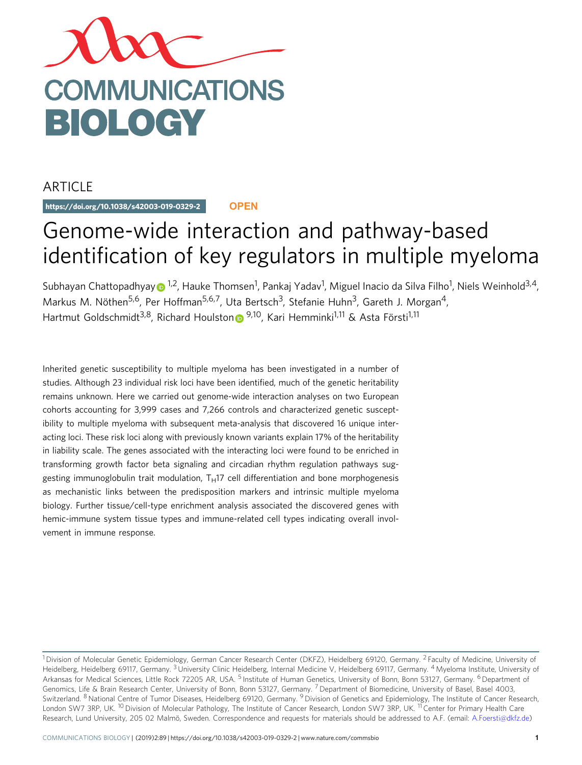

## ARTICLE

https://doi.org/10.1038/s42003-019-0329-2 **OPEN**

# Genome-wide interaction and pathway-based identification of key regulators in multiple myeloma

Subha[y](http://orcid.org/0000-0002-8599-2971)an Chattopadhyay⊕ <sup>[1](http://orcid.org/0000-0002-8599-2971),2</sup>, Hauke Thomsen<sup>1</sup>, Pankaj Yadav<sup>1</sup>, Miguel Inacio da Silva Filho<sup>1</sup>, Niels Weinhold<sup>3,4</sup>, Markus M. Nöthen<sup>5,6</sup>, Per Hoffman<sup>5,6,7</sup>, Uta Bertsch<sup>3</sup>, Stefanie Huhn<sup>3</sup>, Gareth J. Morgan<sup>4</sup>, Hartmut Goldschmidt<sup>3,8</sup>, Richard Houlsto[n](http://orcid.org/0000-0002-5268-0242) <sup>9,10</sup>, Kari Hemminki<sup>1,11</sup> & Asta Försti<sup>1,11</sup>

Inherited genetic susceptibility to multiple myeloma has been investigated in a number of studies. Although 23 individual risk loci have been identified, much of the genetic heritability remains unknown. Here we carried out genome-wide interaction analyses on two European cohorts accounting for 3,999 cases and 7,266 controls and characterized genetic susceptibility to multiple myeloma with subsequent meta-analysis that discovered 16 unique interacting loci. These risk loci along with previously known variants explain 17% of the heritability in liability scale. The genes associated with the interacting loci were found to be enriched in transforming growth factor beta signaling and circadian rhythm regulation pathways suggesting immunoglobulin trait modulation,  $T_H17$  cell differentiation and bone morphogenesis as mechanistic links between the predisposition markers and intrinsic multiple myeloma biology. Further tissue/cell-type enrichment analysis associated the discovered genes with hemic-immune system tissue types and immune-related cell types indicating overall involvement in immune response.

<sup>&</sup>lt;sup>1</sup> Division of Molecular Genetic Epidemiology, German Cancer Research Center (DKFZ), Heidelberg 69120, Germany. <sup>2</sup> Faculty of Medicine, University of Heidelberg, Heidelberg 69117, Germany. <sup>3</sup> University Clinic Heidelberg, Internal Medicine V, Heidelberg 69117, Germany. <sup>4</sup> Myeloma Institute, University of Arkansas for Medical Sciences, Little Rock 72205 AR, USA. <sup>5</sup> Institute of Human Genetics, University of Bonn, Bonn 53127, Germany. <sup>6</sup> Department of Genomics, Life & Brain Research Center, University of Bonn, Bonn 53127, Germany. <sup>7</sup> Department of Biomedicine, University of Basel, Basel 4003, Switzerland. <sup>8</sup> National Centre of Tumor Diseases, Heidelberg 69120, Germany. <sup>9</sup> Division of Genetics and Epidemiology, The Institute of Cancer Research, London SW7 3RP, UK. <sup>10</sup> Division of Molecular Pathology, The Institute of Cancer Research, London SW7 3RP, UK. <sup>11</sup> Center for Primary Health Care Research, Lund University, 205 02 Malmö, Sweden. Correspondence and requests for materials should be addressed to A.F. (email: [A.Foersti@dkfz.de\)](mailto:A.Foersti@dkfz.de)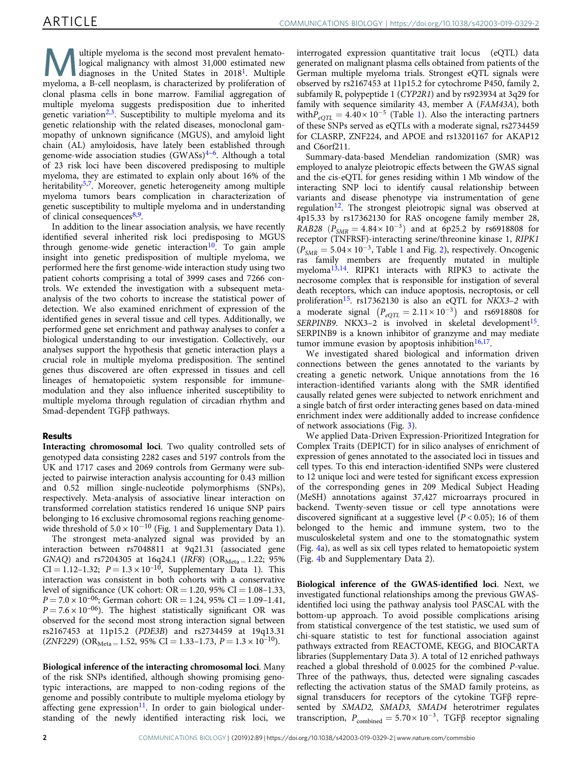M ultiple myeloma is the second most prevalent hematological malignancy with almost 31,000 estimated new diagnoses in the United States in 20[1](#page-7-0)8<sup>1</sup>. Multiple myeloma, a B-cell neoplasm, is characterized by proliferation of clonal plasma cells in bone marrow. Familial aggregation of multiple myeloma suggests predisposition due to inherited genetic variation<sup>[2,3](#page-7-0)</sup>. Susceptibility to multiple myeloma and its genetic relationship with the related diseases, monoclonal gammopathy of unknown significance (MGUS), and amyloid light chain (AL) amyloidosis, have lately been established through genome-wide association studies (GWASs)[4](#page-7-0)–[6](#page-7-0) . Although a total of 23 risk loci have been discovered predisposing to multiple myeloma, they are estimated to explain only about 16% of the heritability<sup>[5](#page-7-0),[7](#page-7-0)</sup>. Moreover, genetic heterogeneity among multiple myeloma tumors bears complication in characterization of genetic susceptibility to multiple myeloma and in understanding of clinical consequences<sup>[8](#page-7-0),[9](#page-7-0)</sup>.

In addition to the linear association analysis, we have recently identified several inherited risk loci predisposing to MGUS through genome-wide genetic interaction<sup>[10](#page-7-0)</sup>. To gain ample insight into genetic predisposition of multiple myeloma, we performed here the first genome-wide interaction study using two patient cohorts comprising a total of 3999 cases and 7266 controls. We extended the investigation with a subsequent metaanalysis of the two cohorts to increase the statistical power of detection. We also examined enrichment of expression of the identified genes in several tissue and cell types. Additionally, we performed gene set enrichment and pathway analyses to confer a biological understanding to our investigation. Collectively, our analyses support the hypothesis that genetic interaction plays a crucial role in multiple myeloma predisposition. The sentinel genes thus discovered are often expressed in tissues and cell lineages of hematopoietic system responsible for immunemodulation and they also influence inherited susceptibility to multiple myeloma through regulation of circadian rhythm and Smad-dependent TGFβ pathways.

## Results

Interacting chromosomal loci. Two quality controlled sets of genotyped data consisting 2282 cases and 5197 controls from the UK and 1717 cases and 2069 controls from Germany were subjected to pairwise interaction analysis accounting for 0.43 million and 0.52 million single-nucleotide polymorphisms (SNPs), respectively. Meta-analysis of associative linear interaction on transformed correlation statistics rendered 16 unique SNP pairs belonging to 16 exclusive chromosomal regions reaching genomewide threshold of  $5.0 \times 10^{-10}$  $5.0 \times 10^{-10}$  $5.0 \times 10^{-10}$  (Fig. 1 and Supplementary Data 1).

The strongest meta-analyzed signal was provided by an interaction between rs7048811 at 9q21.31 (associated gene GNAQ) and rs7204305 at 16q24.1 (IRF8) (OR $_{\text{Meta}} = 1.22$ ; 95%  $CI = 1.12 - 1.32$ ;  $P = 1.3 \times 10^{-10}$ , Supplementary Data 1). This interaction was consistent in both cohorts with a conservative level of significance (UK cohort:  $OR = 1.20$ , 95%  $CI = 1.08 - 1.33$ ,  $P = 7.0 \times 10^{-06}$ ; German cohort: OR = 1.24, 95% CI = 1.09-1.41,  $P = 7.6 \times 10^{-06}$ ). The highest statistically significant OR was observed for the second most strong interaction signal between rs2167453 at 11p15.2 (PDE3B) and rs2734459 at 19q13.31  $(ZNF229)$  (OR<sub>Meta =</sub> 1.52, 95% CI = 1.33–1.73,  $P = 1.3 \times 10^{-10}$ ).

Biological inference of the interacting chromosomal loci. Many of the risk SNPs identified, although showing promising genotypic interactions, are mapped to non-coding regions of the genome and possibly contribute to multiple myeloma etiology by affecting gene  $expression<sup>11</sup>$  $expression<sup>11</sup>$  $expression<sup>11</sup>$ . In order to gain biological understanding of the newly identified interacting risk loci, we

interrogated expression quantitative trait locus (eQTL) data generated on malignant plasma cells obtained from patients of the German multiple myeloma trials. Strongest eQTL signals were observed by rs2167453 at 11p15.2 for cytochrome P450, family 2, subfamily R, polypeptide 1 (CYP2R1) and by rs923934 at 3q29 for family with sequence similarity 43, member A (FAM43A), both with  $P_{eQTL} = 4.40 \times 10^{-5}$  $P_{eQTL} = 4.40 \times 10^{-5}$  $P_{eQTL} = 4.40 \times 10^{-5}$  (Table 1). Also the interacting partners of these SNPs served as eQTLs with a moderate signal, rs2734459 for CLASRP, ZNF224, and APOE and rs13201167 for AKAP12 and C6orf211.

Summary-data-based Mendelian randomization (SMR) was employed to analyze pleiotropic effects between the GWAS signal and the cis-eQTL for genes residing within 1 Mb window of the interacting SNP loci to identify causal relationship between variants and disease phenotype via instrumentation of gene regulation<sup>[12](#page-7-0)</sup>. The strongest pleiotropic signal was observed at 4p15.33 by rs17362130 for RAS oncogene family member 28,  $RAB28 (P<sub>SMR</sub> = 4.84 \times 10^{-3})$  and at 6p25.2 by rs6918808 for receptor (TNFRSF)-interacting serine/threonine kinase 1, RIPK1  $(P_{SMR} = 5.04 \times 10^{-3}$  $(P_{SMR} = 5.04 \times 10^{-3}$  $(P_{SMR} = 5.04 \times 10^{-3}$ , Table 1 and Fig. [2](#page-4-0)), respectively. Oncogenic ras family members are frequently mutated in multiple myeloma<sup>[13](#page-7-0)[,14](#page-8-0)</sup>. RIPK1 interacts with RIPK3 to activate the necrosome complex that is responsible for instigation of several death receptors, which can induce apoptosis, necroptosis, or cell proliferation<sup>[15](#page-8-0)</sup>. rs17362130 is also an eQTL for  $NKX3-2$  with a moderate signal  $(P_{eQTL} = 2.11 \times 10^{-3})$  and rs6918808 for SERPINB9. NKX3-2 is involved in skeletal development<sup>[15](#page-8-0)</sup>. SERPINB9 is a known inhibitor of granzyme and may mediate tumor immune evasion by apoptosis inhibition $16,17$ .

We investigated shared biological and information driven connections between the genes annotated to the variants by creating a genetic network. Unique annotations from the 16 interaction-identified variants along with the SMR identified causally related genes were subjected to network enrichment and a single batch of first order interacting genes based on data-mined enrichment index were additionally added to increase confidence of network associations (Fig. [3](#page-5-0)).

We applied Data-Driven Expression-Prioritized Integration for Complex Traits (DEPICT) for in silico analyses of enrichment of expression of genes annotated to the associated loci in tissues and cell types. To this end interaction-identified SNPs were clustered to 12 unique loci and were tested for significant excess expression of the corresponding genes in 209 Medical Subject Heading (MeSH) annotations against 37,427 microarrays procured in backend. Twenty-seven tissue or cell type annotations were discovered significant at a suggestive level ( $P < 0.05$ ); 16 of them belonged to the hemic and immune system, two to the musculoskeletal system and one to the stomatognathic system (Fig. [4](#page-6-0)a), as well as six cell types related to hematopoietic system (Fig. [4](#page-6-0)b and Supplementary Data 2).

Biological inference of the GWAS-identified loci. Next, we investigated functional relationships among the previous GWASidentified loci using the pathway analysis tool PASCAL with the bottom-up approach. To avoid possible complications arising from statistical convergence of the test statistic, we used sum of chi-square statistic to test for functional association against pathways extracted from REACTOME, KEGG, and BIOCARTA libraries (Supplementary Data 3). A total of 12 enriched pathways reached a global threshold of 0.0025 for the combined P-value. Three of the pathways, thus, detected were signaling cascades reflecting the activation status of the SMAD family proteins, as signal transducers for receptors of the cytokine TGFβ represented by SMAD2, SMAD3, SMAD4 heterotrimer regulates transcription,  $P_{\text{combined}} = 5.70 \times 10^{-3}$ , TGFβ receptor signaling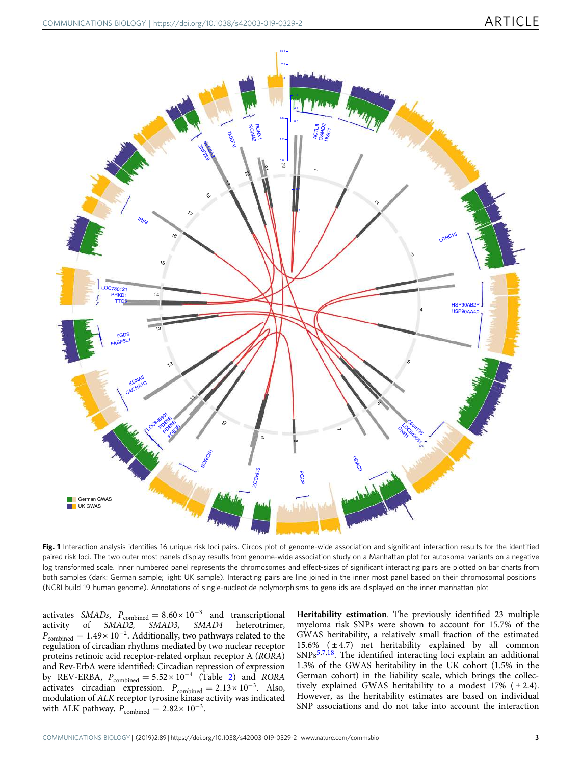<span id="page-2-0"></span>

Fig. 1 Interaction analysis identifies 16 unique risk loci pairs. Circos plot of genome-wide association and significant interaction results for the identified paired risk loci. The two outer most panels display results from genome-wide association study on a Manhattan plot for autosomal variants on a negative log transformed scale. Inner numbered panel represents the chromosomes and effect-sizes of significant interacting pairs are plotted on bar charts from both samples (dark: German sample; light: UK sample). Interacting pairs are line joined in the inner most panel based on their chromosomal positions (NCBI build 19 human genome). Annotations of single-nucleotide polymorphisms to gene ids are displayed on the inner manhattan plot

activates SMADs,  $P_{\text{combined}} = 8.60 \times 10^{-3}$  and transcriptional activity of SMAD2, SMAD3, SMAD4 heterotrimer,  $P_{\rm combined} = 1.49 \times 10^{-2}$ . Additionally, two pathways related to the regulation of circadian rhythms mediated by two nuclear receptor proteins retinoic acid receptor-related orphan receptor A (RORA) and Rev-ErbA were identified: Circadian repression of expression by REV-ERBA,  $P_{\text{combined}} = 5.52 \times 10^{-4}$  $P_{\text{combined}} = 5.52 \times 10^{-4}$  $P_{\text{combined}} = 5.52 \times 10^{-4}$  (Table 2) and RORA activates circadian expression.  $P_{\text{combined}} = 2.13 \times 10^{-3}$ . Also, modulation of ALK receptor tyrosine kinase activity was indicated with ALK pathway,  $P_{\text{combined}} = 2.82 \times 10^{-3}$ .

Heritability estimation. The previously identified 23 multiple myeloma risk SNPs were shown to account for 15.7% of the GWAS heritability, a relatively small fraction of the estimated 15.6%  $(\pm 4.7)$  net heritability explained by all common  $SNPs<sup>5,7,18</sup>$  $SNPs<sup>5,7,18</sup>$  $SNPs<sup>5,7,18</sup>$  $SNPs<sup>5,7,18</sup>$  $SNPs<sup>5,7,18</sup>$ . The identified interacting loci explain an additional 1.3% of the GWAS heritability in the UK cohort (1.5% in the German cohort) in the liability scale, which brings the collectively explained GWAS heritability to a modest  $17\%$  ( $\pm 2.4$ ). However, as the heritability estimates are based on individual SNP associations and do not take into account the interaction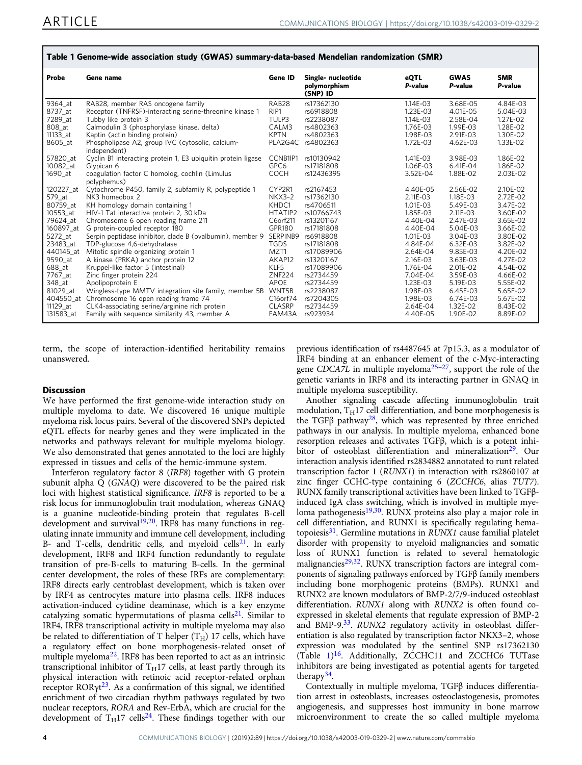| <i>,</i>                                                                                                                                                                             |                                                                                                                                                                                                                                                                                                                                                                                                                                                                                                                                                                                                                                                                                                                                 |                                                                                                                                                                          |                                                                                                                                                                                                                      |                                                                                                                                                                                              |                                                                                                                                                                                              |                                                                                                                                                                                                  |  |  |  |  |
|--------------------------------------------------------------------------------------------------------------------------------------------------------------------------------------|---------------------------------------------------------------------------------------------------------------------------------------------------------------------------------------------------------------------------------------------------------------------------------------------------------------------------------------------------------------------------------------------------------------------------------------------------------------------------------------------------------------------------------------------------------------------------------------------------------------------------------------------------------------------------------------------------------------------------------|--------------------------------------------------------------------------------------------------------------------------------------------------------------------------|----------------------------------------------------------------------------------------------------------------------------------------------------------------------------------------------------------------------|----------------------------------------------------------------------------------------------------------------------------------------------------------------------------------------------|----------------------------------------------------------------------------------------------------------------------------------------------------------------------------------------------|--------------------------------------------------------------------------------------------------------------------------------------------------------------------------------------------------|--|--|--|--|
| Probe                                                                                                                                                                                | Gene name                                                                                                                                                                                                                                                                                                                                                                                                                                                                                                                                                                                                                                                                                                                       | Gene ID                                                                                                                                                                  | Single- nucleotide<br>polymorphism<br>(SNP) ID                                                                                                                                                                       | <b>eQTL</b><br>P-value                                                                                                                                                                       | <b>GWAS</b><br>P-value                                                                                                                                                                       | <b>SMR</b><br>P-value                                                                                                                                                                            |  |  |  |  |
| 9364_at<br>8737 at<br>7289 at<br>808 at<br>11133 at<br>8605 at<br>57820 at<br>10082 at<br>1690_at<br>120227 at<br>579 at<br>80759 at<br>10553 at<br>79624 at<br>160897 at<br>5272 at | RAB28, member RAS oncogene family<br>Receptor (TNFRSF)-interacting serine-threonine kinase 1<br>Tubby like protein 3<br>Calmodulin 3 (phosphorylase kinase, delta)<br>Kaptin (actin binding protein)<br>Phospholipase A2, group IVC (cytosolic, calcium-<br>independent)<br>Cyclin B1 interacting protein 1, E3 ubiquitin protein ligase<br>Glypican 6<br>coagulation factor C homolog, cochlin (Limulus<br>polyphemus)<br>Cytochrome P450, family 2, subfamily R, polypeptide 1<br>NK3 homeobox 2<br>KH homology domain containing 1<br>HIV-1 Tat interactive protein 2, 30 kDa<br>Chromosome 6 open reading frame 211<br>G protein-coupled receptor 180<br>Serpin peptidase inhibitor, clade B (ovalbumin), member 9 SERPINB9 | RAB28<br>RIP1<br>TULP3<br>CALM3<br><b>KPTN</b><br>PLA2G4C<br>CCNB1IP1<br>GPC6<br><b>COCH</b><br>CYP2R1<br><b>NKX3-2</b><br>KHDC1<br>HTATIP2<br>C6orf211<br><b>GPR180</b> | rs17362130<br>rs6918808<br>rs2238087<br>rs4802363<br>rs4802363<br>rs4802363<br>rs10130942<br>rs17181808<br>rs12436395<br>rs2167453<br>rs17362130<br>rs4706511<br>rs10766743<br>rs13201167<br>rs17181808<br>rs6918808 | 1.14E-03<br>1.23E-03<br>1.14E-03<br>1.76E-03<br>1.98E-03<br>1.72E-03<br>1.41E-03<br>1.06E-03<br>3.52E-04<br>4.40E-05<br>2.11E-03<br>1.01E-03<br>1.85E-03<br>4.40E-04<br>4.40E-04<br>1.01E-03 | 3.68E-05<br>4.01E-05<br>2.58E-04<br>1.99E-03<br>2.91E-03<br>4.62E-03<br>3.98E-03<br>6.41E-04<br>1.88E-02<br>2.56E-02<br>1.18E-03<br>5.49E-03<br>2.11E-03<br>2.47E-03<br>5.04E-03<br>3.04E-03 | 4.84E-03<br>5.04E-03<br>$1.27E - 02$<br>1.28E-02<br>1.30E-02<br>1.33E-02<br>1.86E-02<br>1.86E-02<br>2.03E-02<br>2.10E-02<br>2.72E-02<br>3.47E-02<br>3.60E-02<br>3.65E-02<br>3.66E-02<br>3.80E-02 |  |  |  |  |
| 23483 at<br>440145 at<br>9590 at<br>688 at<br>7767 at<br>348 at<br>81029 at<br>11129 at<br>131583_at                                                                                 | TDP-glucose 4.6-dehydratase<br>Mitotic spindle organizing protein 1<br>A kinase (PRKA) anchor protein 12<br>Kruppel-like factor 5 (intestinal)<br>Zinc finger protein 224<br>Apolipoprotein E<br>Wingless-type MMTV integration site family, member 5B WNT5B<br>404550_at Chromosome 16 open reading frame 74<br>CLK4-associating serine/arginine rich protein<br>Family with sequence similarity 43, member A                                                                                                                                                                                                                                                                                                                  | <b>TGDS</b><br>MZT1<br>AKAP12<br>KLF5<br><b>ZNF224</b><br><b>APOE</b><br>C16orf74<br><b>CLASRP</b><br>FAM43A                                                             | rs17181808<br>rs17089906<br>rs13201167<br>rs17089906<br>rs2734459<br>rs2734459<br>rs2238087<br>rs7204305<br>rs2734459<br>rs923934                                                                                    | 4.84E-04<br>2.64E-04<br>2.16E-03<br>1.76E-04<br>7.04E-04<br>1.23E-03<br>1.98E-03<br>1.98E-03<br>2.64E-04<br>4.40E-05                                                                         | 6.32E-03<br>9.85E-03<br>3.63E-03<br>2.01E-02<br>3.59E-03<br>5.19E-03<br>6.45E-03<br>6.74E-03<br>1.32E-02<br>1.90E-02                                                                         | 3.82E-02<br>4.20E-02<br>4.27E-02<br>4.54E-02<br>4.66E-02<br>5.55E-02<br>5.65E-02<br>5.67E-02<br>8.43E-02<br>8.89E-02                                                                             |  |  |  |  |

## <span id="page-3-0"></span>Table 1 Genome-wide association study (GWAS) summary-data-based Mendelian randomization (SMR)

term, the scope of interaction-identified heritability remains unanswered.

## **Discussion**

We have performed the first genome-wide interaction study on multiple myeloma to date. We discovered 16 unique multiple myeloma risk locus pairs. Several of the discovered SNPs depicted eQTL effects for nearby genes and they were implicated in the networks and pathways relevant for multiple myeloma biology. We also demonstrated that genes annotated to the loci are highly expressed in tissues and cells of the hemic-immune system.

Interferon regulatory factor 8 (IRF8) together with G protein subunit alpha Q (GNAQ) were discovered to be the paired risk loci with highest statistical significance. IRF8 is reported to be a risk locus for immunoglobulin trait modulation, whereas GNAQ is a guanine nucleotide-binding protein that regulates B-cell development and survival<sup>[19](#page-8-0),[20](#page-8-0)</sup>. IRF8 has many functions in regulating innate immunity and immune cell development, including B- and T-cells, dendritic cells, and myeloid cells<sup>[21](#page-8-0)</sup>. In early development, IRF8 and IRF4 function redundantly to regulate transition of pre-B-cells to maturing B-cells. In the germinal center development, the roles of these IRFs are complementary: IRF8 directs early centroblast development, which is taken over by IRF4 as centrocytes mature into plasma cells. IRF8 induces activation-induced cytidine deaminase, which is a key enzyme catalyzing somatic hypermutations of plasma cells<sup>[21](#page-8-0)</sup>. Similar to IRF4, IRF8 transcriptional activity in multiple myeloma may also be related to differentiation of T helper  $(T_H)$  17 cells, which have a regulatory effect on bone morphogenesis-related onset of multiple myeloma<sup>[22](#page-8-0)</sup>. IRF8 has been reported to act as an intrinsic transcriptional inhibitor of  $T_H17$  cells, at least partly through its physical interaction with retinoic acid receptor-related orphan receptor RORγt [23](#page-8-0). As a confirmation of this signal, we identified enrichment of two circadian rhythm pathways regulated by two nuclear receptors, RORA and Rev-ErbA, which are crucial for the development of  $T_H$ 17 cells<sup>[24](#page-8-0)</sup>. These findings together with our previous identification of rs4487645 at 7p15.3, as a modulator of IRF4 binding at an enhancer element of the c-Myc-interacting gene CDCA7L in multiple myeloma<sup>[25](#page-8-0)-[27](#page-8-0)</sup>, support the role of the genetic variants in IRF8 and its interacting partner in GNAQ in multiple myeloma susceptibility.

Another signaling cascade affecting immunoglobulin trait modulation,  $T_H17$  cell differentiation, and bone morphogenesis is the TGF $\beta$  pathway<sup>[28](#page-8-0)</sup>, which was represented by three enriched pathways in our analysis. In multiple myeloma, enhanced bone resorption releases and activates TGFβ, which is a potent inhi-bitor of osteoblast differentiation and mineralization<sup>[29](#page-8-0)</sup>. Our interaction analysis identified rs2834882 annotated to runt related transcription factor 1 (RUNX1) in interaction with rs2860107 at zinc finger CCHC-type containing 6 (ZCCHC6, alias TUT7). RUNX family transcriptional activities have been linked to TGFβinduced IgA class switching, which is involved in multiple myeloma pathogenesis $19,30$  $19,30$  $19,30$ . RUNX proteins also play a major role in cell differentiation, and RUNX1 is specifically regulating hematopoiesis $31$ . Germline mutations in RUNX1 cause familial platelet disorder with propensity to myeloid malignancies and somatic loss of RUNX1 function is related to several hematologic malignancies<sup>[29](#page-8-0),[32](#page-8-0)</sup>. RUNX transcription factors are integral components of signaling pathways enforced by TGFβ family members including bone morphogenic proteins (BMPs). RUNX1 and RUNX2 are known modulators of BMP-2/7/9-induced osteoblast differentiation. RUNX1 along with RUNX2 is often found coexpressed in skeletal elements that regulate expression of BMP-2 and BMP-9.<sup>[33](#page-8-0)</sup>. RUNX2 regulatory activity in osteoblast differentiation is also regulated by transcription factor NKX3–2, whose expression was modulated by the sentinel SNP rs17362130 (Table 1) [16](#page-8-0). Additionally, ZCCHC11 and ZCCHC6 TUTase inhibitors are being investigated as potential agents for targeted therapy<sup>[34](#page-8-0)</sup>.

Contextually in multiple myeloma, TGFβ induces differentiation arrest in osteoblasts, increases osteoclastogenesis, promotes angiogenesis, and suppresses host immunity in bone marrow microenvironment to create the so called multiple myeloma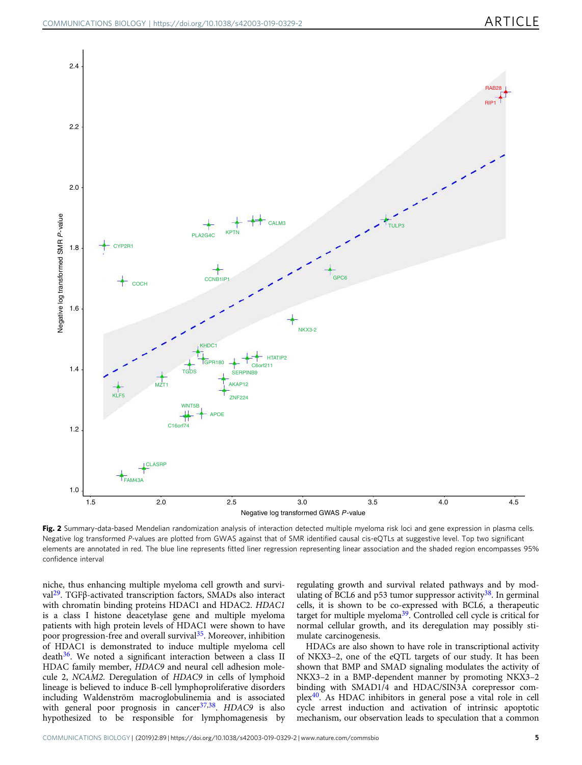<span id="page-4-0"></span>

Fig. 2 Summary-data-based Mendelian randomization analysis of interaction detected multiple myeloma risk loci and gene expression in plasma cells. Negative log transformed P-values are plotted from GWAS against that of SMR identified causal cis-eQTLs at suggestive level. Top two significant elements are annotated in red. The blue line represents fitted liner regression representing linear association and the shaded region encompasses 95% confidence interval

niche, thus enhancing multiple myeloma cell growth and survival[29](#page-8-0). TGFβ-activated transcription factors, SMADs also interact with chromatin binding proteins HDAC1 and HDAC2. HDAC1 is a class I histone deacetylase gene and multiple myeloma patients with high protein levels of HDAC1 were shown to have poor progression-free and overall survival<sup>[35](#page-8-0)</sup>. Moreover, inhibition of HDAC1 is demonstrated to induce multiple myeloma cell  $death<sup>36</sup>$  $death<sup>36</sup>$  $death<sup>36</sup>$ . We noted a significant interaction between a class II HDAC family member, HDAC9 and neural cell adhesion molecule 2, NCAM2. Deregulation of HDAC9 in cells of lymphoid lineage is believed to induce B-cell lymphoproliferative disorders including Waldenström macroglobulinemia and is associated with general poor prognosis in cancer<sup>[37,38](#page-8-0)</sup>. HDAC9 is also hypothesized to be responsible for lymphomagenesis by

regulating growth and survival related pathways and by mod-ulating of BCL6 and p53 tumor suppressor activity<sup>[38](#page-8-0)</sup>. In germinal cells, it is shown to be co-expressed with BCL6, a therapeutic target for multiple myeloma[39](#page-8-0). Controlled cell cycle is critical for normal cellular growth, and its deregulation may possibly stimulate carcinogenesis.

HDACs are also shown to have role in transcriptional activity of NKX3–2, one of the eQTL targets of our study. It has been shown that BMP and SMAD signaling modulates the activity of NKX3–2 in a BMP-dependent manner by promoting NKX3–2 binding with SMAD1/4 and HDAC/SIN3A corepressor complex[40](#page-8-0). As HDAC inhibitors in general pose a vital role in cell cycle arrest induction and activation of intrinsic apoptotic mechanism, our observation leads to speculation that a common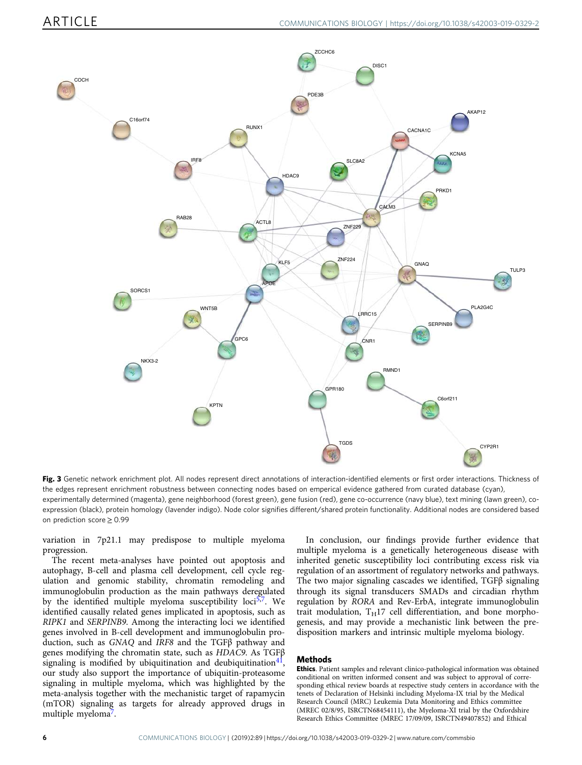<span id="page-5-0"></span>

Fig. 3 Genetic network enrichment plot. All nodes represent direct annotations of interaction-identified elements or first order interactions. Thickness of the edges represent enrichment robustness between connecting nodes based on emperical evidence gathered from curated database (cyan), experimentally determined (magenta), gene neighborhood (forest green), gene fusion (red), gene co-occurrence (navy blue), text mining (lawn green), coexpression (black), protein homology (lavender indigo). Node color signifies different/shared protein functionality. Additional nodes are considered based on prediction score ≥ 0.99

variation in 7p21.1 may predispose to multiple myeloma progression.

The recent meta-analyses have pointed out apoptosis and autophagy, B-cell and plasma cell development, cell cycle regulation and genomic stability, chromatin remodeling and immunoglobulin production as the main pathways deregulated by the identified multiple myeloma susceptibility loci<sup>[5,7](#page-7-0)</sup>. We identified causally related genes implicated in apoptosis, such as RIPK1 and SERPINB9. Among the interacting loci we identified genes involved in B-cell development and immunoglobulin production, such as GNAQ and IRF8 and the TGFβ pathway and genes modifying the chromatin state, such as HDAC9. As TGFβ signaling is modified by ubiquitination and deubiquitination $4^{1}$ , our study also support the importance of ubiquitin-proteasome signaling in multiple myeloma, which was highlighted by the meta-analysis together with the mechanistic target of rapamycin (mTOR) signaling as targets for already approved drugs in multiple myeloma<sup>[7](#page-7-0)</sup>.

In conclusion, our findings provide further evidence that multiple myeloma is a genetically heterogeneous disease with inherited genetic susceptibility loci contributing excess risk via regulation of an assortment of regulatory networks and pathways. The two major signaling cascades we identified, TGFβ signaling through its signal transducers SMADs and circadian rhythm regulation by RORA and Rev-ErbA, integrate immunoglobulin trait modulation,  $T_H17$  cell differentiation, and bone morphogenesis, and may provide a mechanistic link between the predisposition markers and intrinsic multiple myeloma biology.

## Methods

Ethics. Patient samples and relevant clinico-pathological information was obtained conditional on written informed consent and was subject to approval of corresponding ethical review boards at respective study centers in accordance with the tenets of Declaration of Helsinki including Myeloma-IX trial by the Medical Research Council (MRC) Leukemia Data Monitoring and Ethics committee (MREC 02/8/95, ISRCTN68454111), the Myeloma-XI trial by the Oxfordshire Research Ethics Committee (MREC 17/09/09, ISRCTN49407852) and Ethical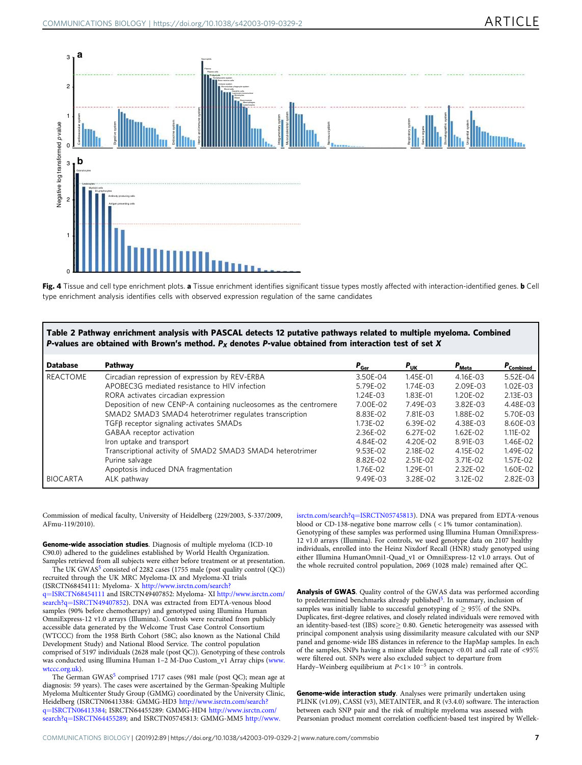<span id="page-6-0"></span>

Fig. 4 Tissue and cell type enrichment plots. a Tissue enrichment identifies significant tissue types mostly affected with interaction-identified genes. **b** Cell type enrichment analysis identifies cells with observed expression regulation of the same candidates

| Table 2 Pathway enrichment analysis with PASCAL detects 12 putative pathways related to multiple myeloma. Combined |  |  |  |  |  |  |  |
|--------------------------------------------------------------------------------------------------------------------|--|--|--|--|--|--|--|
| P-values are obtained with Brown's method. $P_x$ denotes P-value obtained from interaction test of set X           |  |  |  |  |  |  |  |

| <b>Database</b> | Pathway                                                           | $P_{\rm Ger}$ | $P_{\text{UK}}$ | $P_{Meta}$   | $P_{\rm Combined}$ |
|-----------------|-------------------------------------------------------------------|---------------|-----------------|--------------|--------------------|
| REACTOME        | Circadian repression of expression by REV-ERBA                    | 3.50E-04      | 1.45E-01        | 4.16E-03     | 5.52E-04           |
|                 | APOBEC3G mediated resistance to HIV infection                     | 5.79E-02      | 1.74E-03        | 2.09E-03     | $1.02E - 03$       |
|                 | RORA activates circadian expression                               | $1.24E - 03$  | 1.83E-01        | 1.20E-02     | 2.13E-03           |
|                 | Deposition of new CENP-A containing nucleosomes as the centromere | 7.00E-02      | 7.49E-03        | 3.82E-03     | 4.48E-03           |
|                 | SMAD2 SMAD3 SMAD4 heterotrimer regulates transcription            | 8.83E-02      | 7.81E-03        | 1.88E-02     | 5.70E-03           |
|                 | $TGF\beta$ receptor signaling activates SMADs                     | 1.73E-02      | 6.39E-02        | 4.38E-03     | 8.60E-03           |
|                 | GABAA receptor activation                                         | 2.36E-02      | $6.27E - 02$    | $1.62E - 02$ | $1.11E - 02$       |
|                 | Iron uptake and transport                                         | 4.84E-02      | 4.20E-02        | 8.91E-03     | 1.46E-02           |
|                 | Transcriptional activity of SMAD2 SMAD3 SMAD4 heterotrimer        | 9.53E-02      | 2.18E-02        | 4.15E-02     | 1.49E-02           |
|                 | Purine salvage                                                    | 8.82E-02      | 2.51E-02        | 3.71E-02     | 1.57E-02           |
|                 | Apoptosis induced DNA fragmentation                               | 1.76E-02      | 1.29E-01        | 2.32E-02     | 1.60E-02           |
| <b>BIOCARTA</b> | ALK pathway                                                       | 9.49E-03      | 3.28E-02        | 3.12E-02     | 2.82E-03           |

Commission of medical faculty, University of Heidelberg (229/2003, S-337/2009, AFmu-119/2010).

Genome-wide association studies. Diagnosis of multiple myeloma (ICD-10 C90.0) adhered to the guidelines established by World Health Organization. Samples retrieved from all subjects were either before treatment or at presentation.

The UK GWAS<sup>[5](#page-7-0)</sup> consisted of 2282 cases (1755 male (post quality control (QC)) recruited through the UK MRC Myeloma-IX and Myeloma-XI trials (ISRCTN68454111: Myeloma- X [http://www.isrctn.com/search?](http://www.isrctn.com/search?q=ISRCTN68454111)

q=[ISRCTN68454111](http://www.isrctn.com/search?q=ISRCTN68454111) and ISRCTN49407852: Myeloma- XI [http://www.isrctn.com/](http://www.isrctn.com/search?q=ISRCTN49407852) search?q=[ISRCTN49407852](http://www.isrctn.com/search?q=ISRCTN49407852)). DNA was extracted from EDTA-venous blood samples (90% before chemotherapy) and genotyped using Illumina Human OmniExpress-12 v1.0 arrays (Illumina). Controls were recruited from publicly accessible data generated by the Welcome Trust Case Control Consortium (WTCCC) from the 1958 Birth Cohort (58C; also known as the National Child Development Study) and National Blood Service. The control population comprised of 5197 individuals (2628 male (post QC)). Genotyping of these controls was conducted using Illumina Human 1–2 M-Duo Custom\_v1 Array chips ([www.](http://www.wtccc.org.uk) [wtccc.org.uk\)](http://www.wtccc.org.uk).

The German GWAS<sup>[5](#page-7-0)</sup> comprised 1717 cases (981 male (post QC); mean age at diagnosis: 59 years). The cases were ascertained by the German-Speaking Multiple Myeloma Multicenter Study Group (GMMG) coordinated by the University Clinic, Heidelberg (ISRCTN06413384: GMMG-HD3 [http://www.isrctn.com/search?](http://www.isrctn.com/search?q=ISRCTN06413384) q=[ISRCTN06413384](http://www.isrctn.com/search?q=ISRCTN06413384); ISRCTN64455289: GMMG-HD4 [http://www.isrctn.com/](http://www.isrctn.com/search?q=ISRCTN64455289) search?q=[ISRCTN64455289](http://www.isrctn.com/search?q=ISRCTN64455289); and ISRCTN05745813: GMMG-MM5 [http://www.](http://www.isrctn.com/search?q=ISRCTN05745813)

[isrctn.com/search?q](http://www.isrctn.com/search?q=ISRCTN05745813)=ISRCTN05745813). DNA was prepared from EDTA-venous blood or CD-138-negative bone marrow cells ( < 1% tumor contamination). Genotyping of these samples was performed using Illumina Human OmniExpress-12 v1.0 arrays (Illumina). For controls, we used genotype data on 2107 healthy individuals, enrolled into the Heinz Nixdorf Recall (HNR) study genotyped using either Illumina HumanOmni1-Quad\_v1 or OmniExpress-12 v1.0 arrays. Out of the whole recruited control population, 2069 (1028 male) remained after QC.

Analysis of GWAS. Quality control of the GWAS data was performed according to predetermined benchmarks already published<sup>[5](#page-7-0)</sup>. In summary, inclusion of samples was initially liable to successful genotyping of  $\geq$  95% of the SNPs. Duplicates, first-degree relatives, and closely related individuals were removed with an identity-based-test (IBS) score  $\geq$  0.80. Genetic heterogeneity was assessed with principal component analysis using dissimilarity measure calculated with our SNP panel and genome-wide IBS distances in reference to the HapMap samples. In each of the samples, SNPs having a minor allele frequency <0:01 and call rate of <95% were filtered out. SNPs were also excluded subject to departure from Hardy–Weinberg equilibrium at  $P<1 \times 10^{-5}$  in controls.

Genome-wide interaction study. Analyses were primarily undertaken using PLINK (v1.09), CASSI (v3), METAINTER, and R (v3.4.0) software. The interaction between each SNP pair and the risk of multiple myeloma was assessed with Pearsonian product moment correlation coefficient-based test inspired by Wellek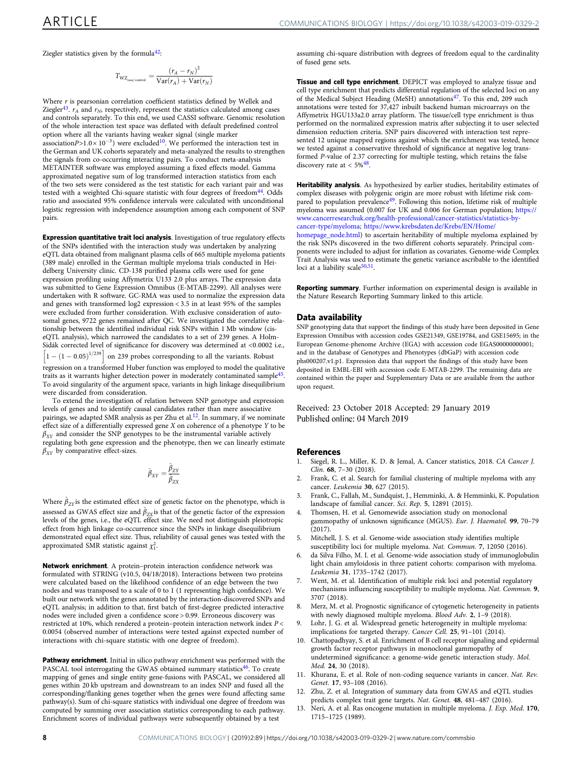<span id="page-7-0"></span>Ziegler statistics given by the formula<sup>[42](#page-8-0)</sup>:

$$
T_{\text{WZ}_{\text{case/control}}} = \frac{(r_A - r_N)^2}{\text{Var}(r_A) + \text{Var}(r_N)}
$$

Where  $r$  is pearsonian correlation coefficient statistics defined by Wellek and Ziegler<sup>[43](#page-8-0)</sup>.  $r_A$  and  $r_N$ , respectively, represent the statistics calculated among cases and controls separately. To this end, we used CASSI software. Genomic resolution of the whole interaction test space was deflated with default predefined control option where all the variants having weaker signal (single marker association $P > 1.0 \times 10^{-3}$ ) were excluded<sup>10</sup>. We performed the interaction test in the German and UK cohorts separately and meta-analyzed the results to strengthen the signals from co-occurring interacting pairs. To conduct meta-analysis METAINTER software was employed assuming a fixed effects model. Gamma approximated negative sum of log transformed interaction statistics from each of the two sets were considered as the test statistic for each variant pair and was tested with a weighted Chi-square statistic with four degrees of freedom<sup>[44](#page-8-0)</sup>. Odds ratio and associated 95% confidence intervals were calculated with unconditional logistic regression with independence assumption among each component of SNP pairs.

Expression quantitative trait loci analysis. Investigation of true regulatory effects of the SNPs identified with the interaction study was undertaken by analyzing eQTL data obtained from malignant plasma cells of 665 multiple myeloma patients (389 male) enrolled in the German multiple myeloma trials conducted in Heidelberg University clinic. CD-138 purified plasma cells were used for gene expression profiling using Affymetrix U133 2.0 plus arrays. The expression data was submitted to Gene Expression Omnibus (E-MTAB-2299). All analyses were undertaken with R software. GC-RMA was used to normalize the expression data and genes with transformed log2 expression < 3.5 in at least 95% of the samples were excluded from further consideration. With exclusive consideration of autosomal genes, 9722 genes remained after QC. We investigated the correlative relationship between the identified individual risk SNPs within 1 Mb window (ciseQTL analysis), which narrowed the candidates to a set of 239 genes. A Holm-Sidák corrected level of significance for discovery was determined at <0:0002 i.e.,  $\left[1 - (1 - 0.05)^{1/239}\right]$  on 239 probes corresponding to all the variants. Robust regression on a transformed Huber function was employed to model the qualitative traits as it warrants higher detection power in moderately contaminated sample<sup>[45](#page-8-0)</sup>. To avoid singularity of the argument space, variants in high linkage disequilibrium

were discarded from consideration. To extend the investigation of relation between SNP genotype and expression levels of genes and to identify causal candidates rather than mere associative pairings, we adapted SMR analysis as per Zhu et al. $12$ . In summary, if we nominate effect size of a differentially expressed gene X on coherence of a phenotype Y to be  $\beta_{XY}$  and consider the SNP genotypes to be the instrumental variable actively regulating both gene expression and the phenotype, then we can linearly estimate  $\beta_{XY}$  by comparative effect-sizes.

$$
\hat{\beta}_{XY}=\frac{\hat{\beta}_{ZY}}{\hat{\beta}_{ZX}}
$$

Where  $\hat{\beta}_{ZY}$  is the estimated effect size of genetic factor on the phenotype, which is assessed as GWAS effect size and  $\hat{\beta}_{zx}$  is that of the genetic factor of the expression levels of the genes, i.e., the eQTL effect size. We need not distinguish pleiotropic effect from high linkage co-occurrence since the SNPs in linkage disequilibrium demonstrated equal effect size. Thus, reliability of causal genes was tested with the approximated SMR statistic against  $\chi_1^2$ .

Network enrichment. A protein–protein interaction confidence network was formulated with STRING (v10.5, 04/18/2018). Interactions between two proteins were calculated based on the likelihood confidence of an edge between the two nodes and was transposed to a scale of 0 to 1 (1 representing high confidence). We built our network with the genes annotated by the interaction-discovered SNPs and eQTL analysis; in addition to that, first batch of first-degree predicted interactive nodes were included given a confidence score > 0.99. Erroneous discovery was restricted at 10%, which rendered a protein–protein interaction network index P < 0.0054 (observed number of interactions were tested against expected number of interactions with chi-square statistic with one degree of freedom).

Pathway enrichment. Initial in silico pathway enrichment was performed with the PASCAL tool interrogating the GWAS obtained summary statistics<sup>[46](#page-8-0)</sup>. To create mapping of genes and single entity gene-fusions with PASCAL, we considered all genes within 20 kb upstream and downstream to an index SNP and fused all the corresponding/flanking genes together when the genes were found affecting same pathway(s). Sum of chi-square statistics with individual one degree of freedom was computed by summing over association statistics corresponding to each pathway. Enrichment scores of individual pathways were subsequently obtained by a test

assuming chi-square distribution with degrees of freedom equal to the cardinality of fused gene sets.

**Tissue and cell type enrichment**. DEPICT was employed to analyze tissue and cell type enrichment that predicts differential regulation of the selected loci on any of the Medical Subject Heading (MeSH) annotations<sup>[47](#page-8-0)</sup>. To this end, 209 such annotations were tested for 37,427 inbuilt backend human microarrays on the Affymetrix HGU133a2.0 array platform. The tissue/cell type enrichment is thus performed on the normalized expression matrix after subjecting it to user selected dimension reduction criteria. SNP pairs discovered with interaction test represented 12 unique mapped regions against which the enrichment was tested, hence we tested against a conservative threshold of significance at negative log transformed P-value of 2.37 correcting for multiple testing, which retains the false discovery rate at < 5%[48](#page-8-0) .

Heritability analysis. As hypothesized by earlier studies, heritability estimates of complex diseases with polygenic origin are more robust with lifetime risk com-pared to population prevalence<sup>[49](#page-8-0)</sup>. Following this notion, lifetime risk of multiple myeloma was assumed (0.007 for UK and 0.006 for German population; [https://](https://www.cancerresearchuk.org/health-professional/cancer-statistics/statistics-by-cancer-type/myeloma) [www.cancerresearchuk.org/health-professional/cancer-statistics/statistics-by](https://www.cancerresearchuk.org/health-professional/cancer-statistics/statistics-by-cancer-type/myeloma)[cancer-type/myeloma](https://www.cancerresearchuk.org/health-professional/cancer-statistics/statistics-by-cancer-type/myeloma); [https://www.krebsdaten.de/Krebs/EN/Home/](https://www.krebsdaten.de/Krebs/EN/Home/homepage_node.html)

[homepage\\_node.html\)](https://www.krebsdaten.de/Krebs/EN/Home/homepage_node.html) to ascertain heritability of multiple myeloma explained by the risk SNPs discovered in the two different cohorts separately. Principal components were included to adjust for inflation as covariates. Genome-wide Complex Trait Analysis was used to estimate the genetic variance ascribable to the identified loci at a liability scale<sup>[50,51](#page-8-0)</sup>

Reporting summary. Further information on experimental design is available in the Nature Research Reporting Summary linked to this article.

#### Data availability

SNP genotyping data that support the findings of this study have been deposited in Gene Expression Omnibus with accession codes GSE21349, GSE19784, and GSE15695; in the European Genome-phenome Archive (EGA) with accession code EGAS00000000001; and in the database of Genotypes and Phenotypes (dbGaP) with accession code phs000207.v1.p1. Expression data that support the findings of this study have been deposited in EMBL-EBI with accession code E-MTAB-2299. The remaining data are contained within the paper and Supplementary Data or are available from the author upon request.

Received: 23 October 2018 Accepted: 29 January 2019 Published online: 04 March 2019

#### References

- 1. Siegel, R. L., Miller, K. D. & Jemal, A. Cancer statistics, 2018. CA Cancer J. Clin. 68, 7–30 (2018).
- 2. Frank, C. et al. Search for familial clustering of multiple myeloma with any cancer. Leukemia 30, 627 (2015).
- 3. Frank, C., Fallah, M., Sundquist, J., Hemminki, A. & Hemminki, K. Population landscape of familial cancer. Sci. Rep. 5, 12891 (2015).
- 4. Thomsen, H. et al. Genomewide association study on monoclonal gammopathy of unknown significance (MGUS). Eur. J. Haematol. 99, 70-79  $(2017)$
- 5. Mitchell, J. S. et al. Genome-wide association study identifies multiple susceptibility loci for multiple myeloma. Nat. Commun. 7, 12050 (2016).
- 6. da Silva Filho, M. I. et al. Genome-wide association study of immunoglobulin light chain amyloidosis in three patient cohorts: comparison with myeloma. Leukemia 31, 1735–1742 (2017).
- Went, M. et al. Identification of multiple risk loci and potential regulatory mechanisms influencing susceptibility to multiple myeloma. Nat. Commun. 9, 3707 (2018).
- Merz, M. et al. Prognostic significance of cytogenetic heterogeneity in patients with newly diagnosed multiple myeloma. Blood Adv. 2, 1–9 (2018).
- 9. Lohr, J. G. et al. Widespread genetic heterogeneity in multiple myeloma: implications for targeted therapy. Cancer Cell. 25, 91–101 (2014).
- 10. Chattopadhyay, S. et al. Enrichment of B cell receptor signaling and epidermal growth factor receptor pathways in monoclonal gammopathy of undetermined significance: a genome-wide genetic interaction study. Mol. Med. 24, 30 (2018).
- 11. Khurana, E. et al. Role of non-coding sequence variants in cancer. Nat. Rev. Genet. 17, 93–108 (2016).
- 12. Zhu, Z. et al. Integration of summary data from GWAS and eQTL studies predicts complex trait gene targets. Nat. Genet. 48, 481–487 (2016).
- 13. Neri, A. et al. Ras oncogene mutation in multiple myeloma. J. Exp. Med. 170, 1715–1725 (1989).